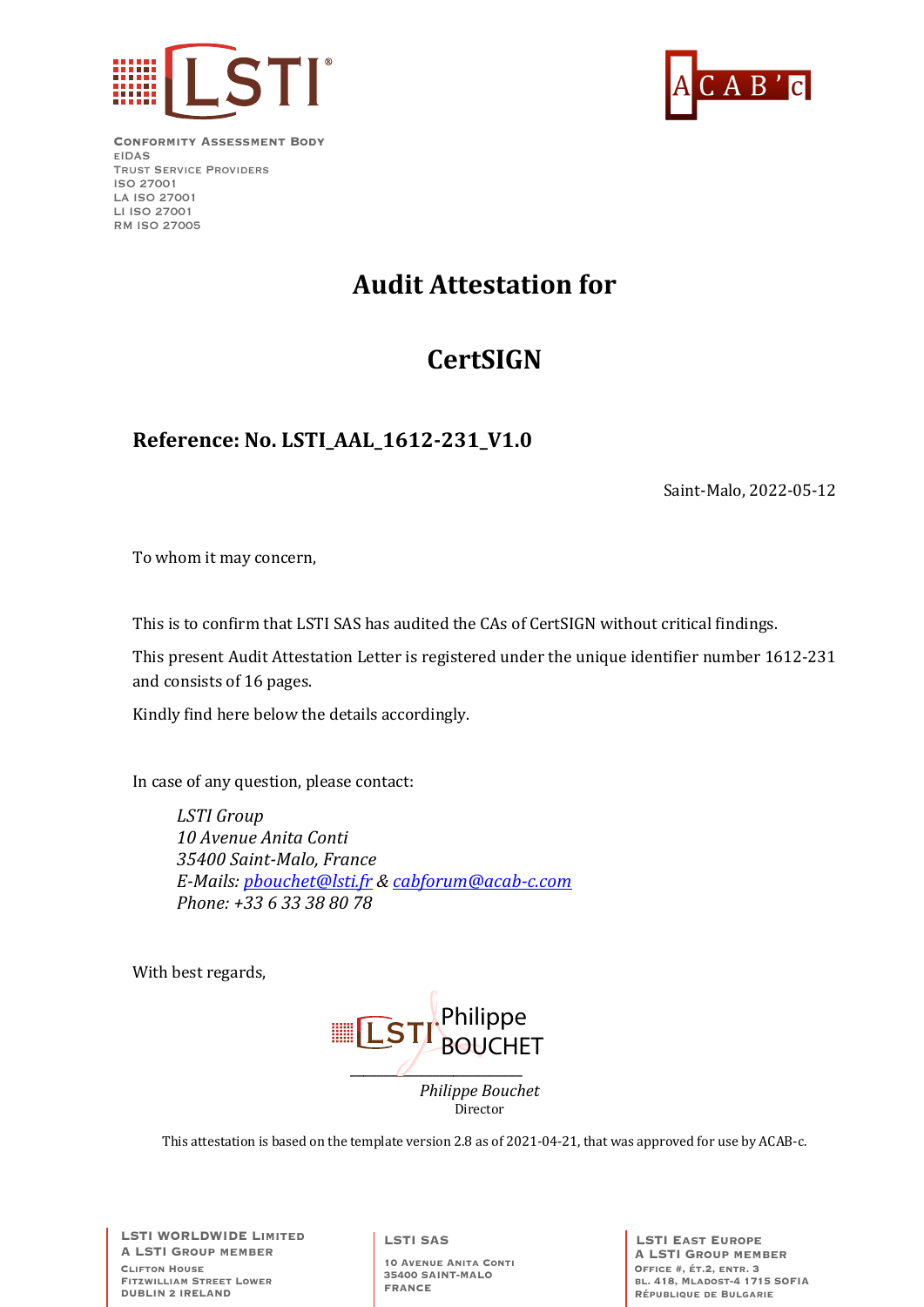



**Conformity Assessment Body** eIDAS Trust Service Providers ISO 27001 LA ISO 27001 LI ISO 27001 RM ISO 27005

# **Audit Attestation for**

# **CertSIGN**

### **Reference: No. LSTI\_AAL\_1612-231\_V1.0**

Saint-Malo, 2022-05-12

To whom it may concern,

This is to confirm that LSTI SAS has audited the CAs of CertSIGN without critical findings.

This present Audit Attestation Letter is registered under the unique identifier number 1612-231 and consists of 16 pages.

Kindly find here below the details accordingly.

In case of any question, please contact:

*LSTI Group 10 Avenue Anita Conti 35400 Saint-Malo, France E-Mails: pbouchet@lsti.fr & cabforum@acab-c.com Phone: +33 6 33 38 80 78*

With best regards,



This attestation is based on the template version 2.8 as of 2021-04-21, that was approved for use by ACAB-c.

**LSTI WORLDWIDE Limited A LSTI Group member Clifton House Fitzwilliam Street Lower DUBLIN 2 IRELAND**

**LSTI SAS**

**10 Avenue Anita Conti 35400 SAINT-MALO FRANCE**

**LSTI East Europe A LSTI Group member Office #, ét.2, entr. 3 bl. 418, Mladost-4 1715 SOFIA République de Bulgarie**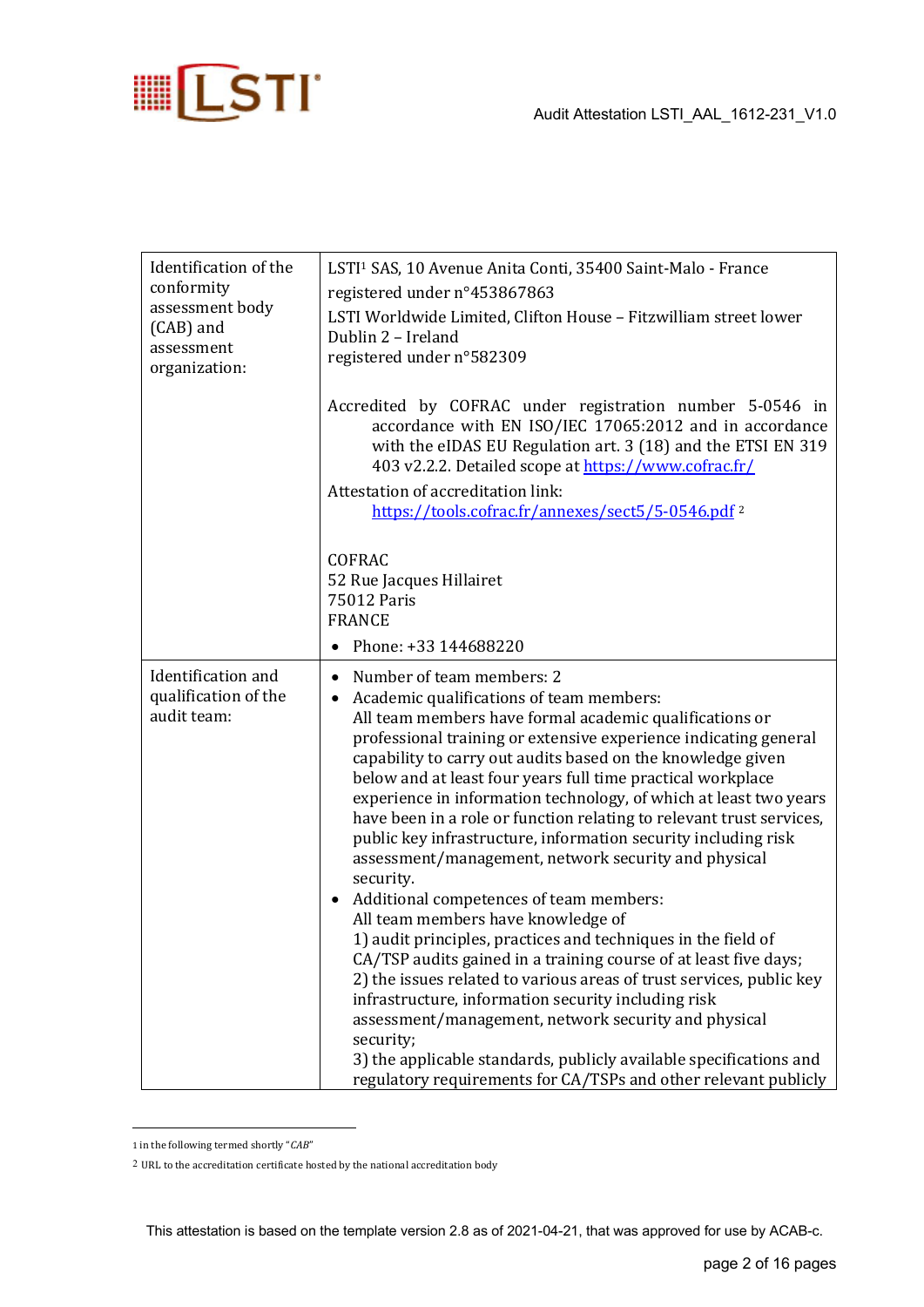

| Identification of the<br>conformity<br>assessment body<br>(CAB) and<br>assessment<br>organization: | LSTI <sup>1</sup> SAS, 10 Avenue Anita Conti, 35400 Saint-Malo - France<br>registered under n°453867863<br>LSTI Worldwide Limited, Clifton House - Fitzwilliam street lower<br>Dublin 2 - Ireland<br>registered under n°582309                                                                                                                                                                                                                                                                                                                                                                                                                                                                                                                                                                                                                                                                                                                                                                                                                                                                                                                                                                              |  |
|----------------------------------------------------------------------------------------------------|-------------------------------------------------------------------------------------------------------------------------------------------------------------------------------------------------------------------------------------------------------------------------------------------------------------------------------------------------------------------------------------------------------------------------------------------------------------------------------------------------------------------------------------------------------------------------------------------------------------------------------------------------------------------------------------------------------------------------------------------------------------------------------------------------------------------------------------------------------------------------------------------------------------------------------------------------------------------------------------------------------------------------------------------------------------------------------------------------------------------------------------------------------------------------------------------------------------|--|
|                                                                                                    | Accredited by COFRAC under registration number 5-0546 in<br>accordance with EN ISO/IEC 17065:2012 and in accordance<br>with the eIDAS EU Regulation art. 3 (18) and the ETSI EN 319<br>403 v2.2.2. Detailed scope at https://www.cofrac.fr/<br>Attestation of accreditation link:<br>https://tools.cofrac.fr/annexes/sect5/5-0546.pdf <sup>2</sup>                                                                                                                                                                                                                                                                                                                                                                                                                                                                                                                                                                                                                                                                                                                                                                                                                                                          |  |
|                                                                                                    | <b>COFRAC</b><br>52 Rue Jacques Hillairet<br>75012 Paris<br><b>FRANCE</b><br>Phone: +33 144688220<br>$\bullet$                                                                                                                                                                                                                                                                                                                                                                                                                                                                                                                                                                                                                                                                                                                                                                                                                                                                                                                                                                                                                                                                                              |  |
| Identification and<br>qualification of the<br>audit team:                                          | Number of team members: 2<br>$\bullet$<br>Academic qualifications of team members:<br>٠<br>All team members have formal academic qualifications or<br>professional training or extensive experience indicating general<br>capability to carry out audits based on the knowledge given<br>below and at least four years full time practical workplace<br>experience in information technology, of which at least two years<br>have been in a role or function relating to relevant trust services,<br>public key infrastructure, information security including risk<br>assessment/management, network security and physical<br>security.<br>Additional competences of team members:<br>All team members have knowledge of<br>1) audit principles, practices and techniques in the field of<br>CA/TSP audits gained in a training course of at least five days;<br>2) the issues related to various areas of trust services, public key<br>infrastructure, information security including risk<br>assessment/management, network security and physical<br>security;<br>3) the applicable standards, publicly available specifications and<br>regulatory requirements for CA/TSPs and other relevant publicly |  |

<sup>1</sup> in the following termed shortly "CAB"

 $2\,$  URL to the accreditation certificate hosted by the national accreditation body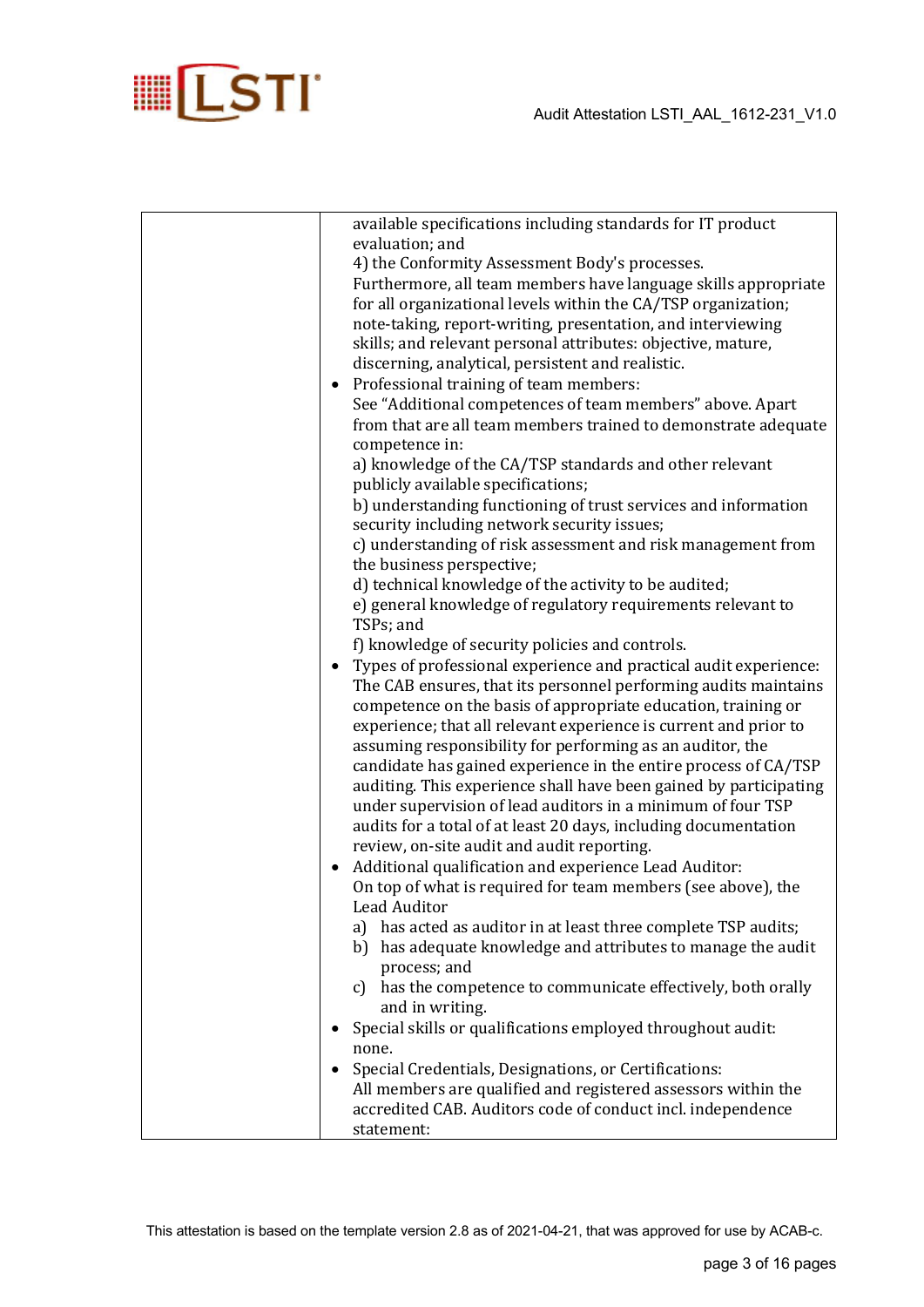

| available specifications including standards for IT product       |
|-------------------------------------------------------------------|
| evaluation; and                                                   |
| 4) the Conformity Assessment Body's processes.                    |
| Furthermore, all team members have language skills appropriate    |
| for all organizational levels within the CA/TSP organization;     |
| note-taking, report-writing, presentation, and interviewing       |
| skills; and relevant personal attributes: objective, mature,      |
| discerning, analytical, persistent and realistic.                 |
| • Professional training of team members:                          |
| See "Additional competences of team members" above. Apart         |
|                                                                   |
| from that are all team members trained to demonstrate adequate    |
| competence in:                                                    |
| a) knowledge of the CA/TSP standards and other relevant           |
| publicly available specifications;                                |
| b) understanding functioning of trust services and information    |
| security including network security issues;                       |
| c) understanding of risk assessment and risk management from      |
| the business perspective;                                         |
| d) technical knowledge of the activity to be audited;             |
| e) general knowledge of regulatory requirements relevant to       |
| TSPs; and                                                         |
| f) knowledge of security policies and controls.                   |
| Types of professional experience and practical audit experience:  |
| The CAB ensures, that its personnel performing audits maintains   |
| competence on the basis of appropriate education, training or     |
| experience; that all relevant experience is current and prior to  |
| assuming responsibility for performing as an auditor, the         |
|                                                                   |
| candidate has gained experience in the entire process of CA/TSP   |
| auditing. This experience shall have been gained by participating |
| under supervision of lead auditors in a minimum of four TSP       |
| audits for a total of at least 20 days, including documentation   |
| review, on-site audit and audit reporting.                        |
| • Additional qualification and experience Lead Auditor:           |
| On top of what is required for team members (see above), the      |
| <b>Lead Auditor</b>                                               |
| has acted as auditor in at least three complete TSP audits;<br>a) |
| b) has adequate knowledge and attributes to manage the audit      |
| process; and                                                      |
| c) has the competence to communicate effectively, both orally     |
| and in writing.                                                   |
| Special skills or qualifications employed throughout audit:       |
| none.                                                             |
|                                                                   |
| Special Credentials, Designations, or Certifications:             |
| All members are qualified and registered assessors within the     |
| accredited CAB. Auditors code of conduct incl. independence       |
| statement:                                                        |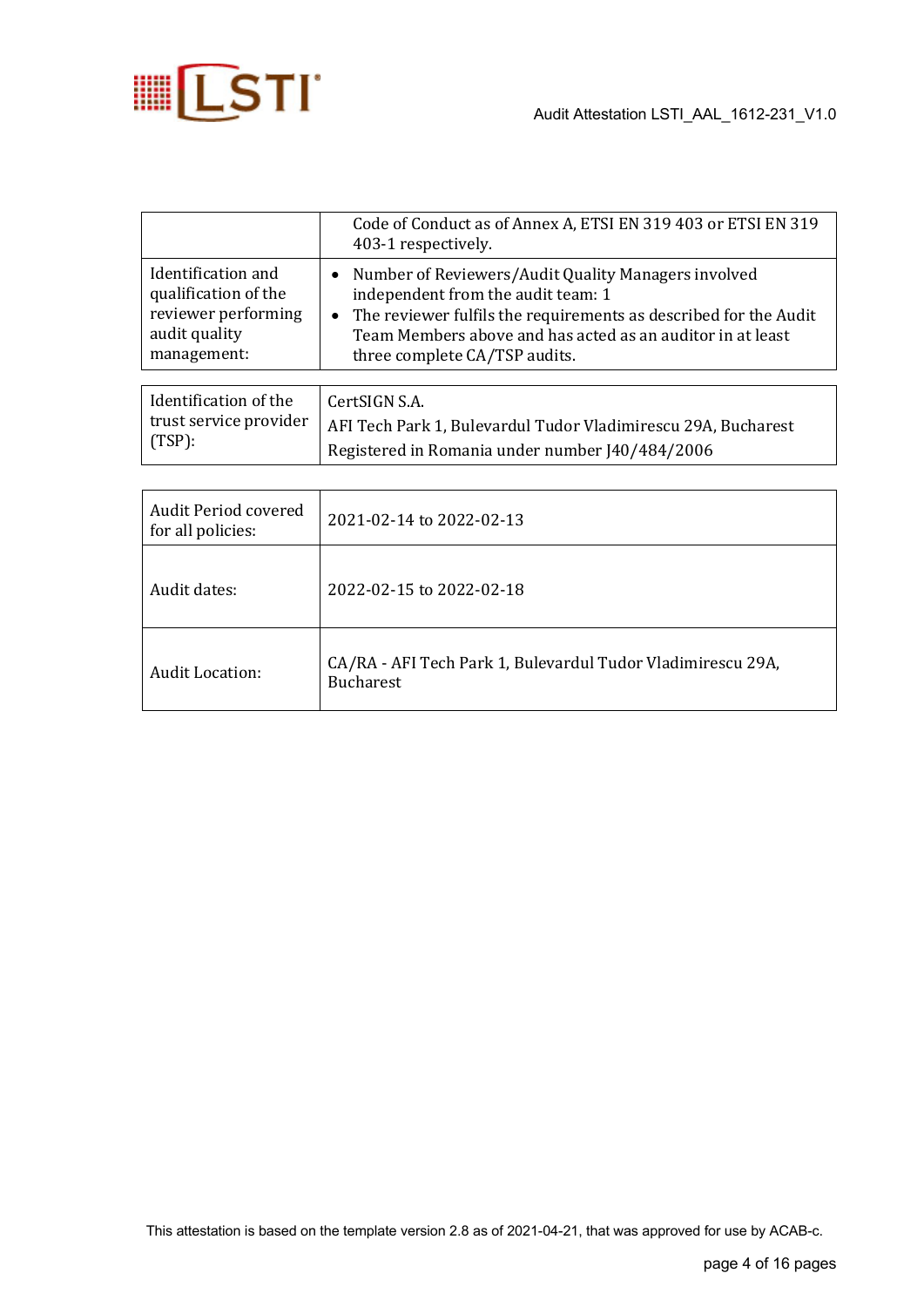

|                                                                                                   | Code of Conduct as of Annex A, ETSI EN 319 403 or ETSI EN 319<br>403-1 respectively.                                                                                                                                                                                        |
|---------------------------------------------------------------------------------------------------|-----------------------------------------------------------------------------------------------------------------------------------------------------------------------------------------------------------------------------------------------------------------------------|
| Identification and<br>qualification of the<br>reviewer performing<br>audit quality<br>management: | Number of Reviewers/Audit Quality Managers involved<br>$\bullet$<br>independent from the audit team: 1<br>• The reviewer fulfils the requirements as described for the Audit<br>Team Members above and has acted as an auditor in at least<br>three complete CA/TSP audits. |
|                                                                                                   |                                                                                                                                                                                                                                                                             |
| Identification of the<br>trust service provider<br>$(TSP)$ :                                      | CertSIGN S.A.<br>AFI Tech Park 1, Bulevardul Tudor Vladimirescu 29A, Bucharest<br>Registered in Romania under number J40/484/2006                                                                                                                                           |

| Audit Period covered<br>for all policies: | 2021-02-14 to 2022-02-13                                                        |
|-------------------------------------------|---------------------------------------------------------------------------------|
| Audit dates:                              | 2022-02-15 to 2022-02-18                                                        |
| Audit Location:                           | CA/RA - AFI Tech Park 1, Bulevardul Tudor Vladimirescu 29A,<br><b>Bucharest</b> |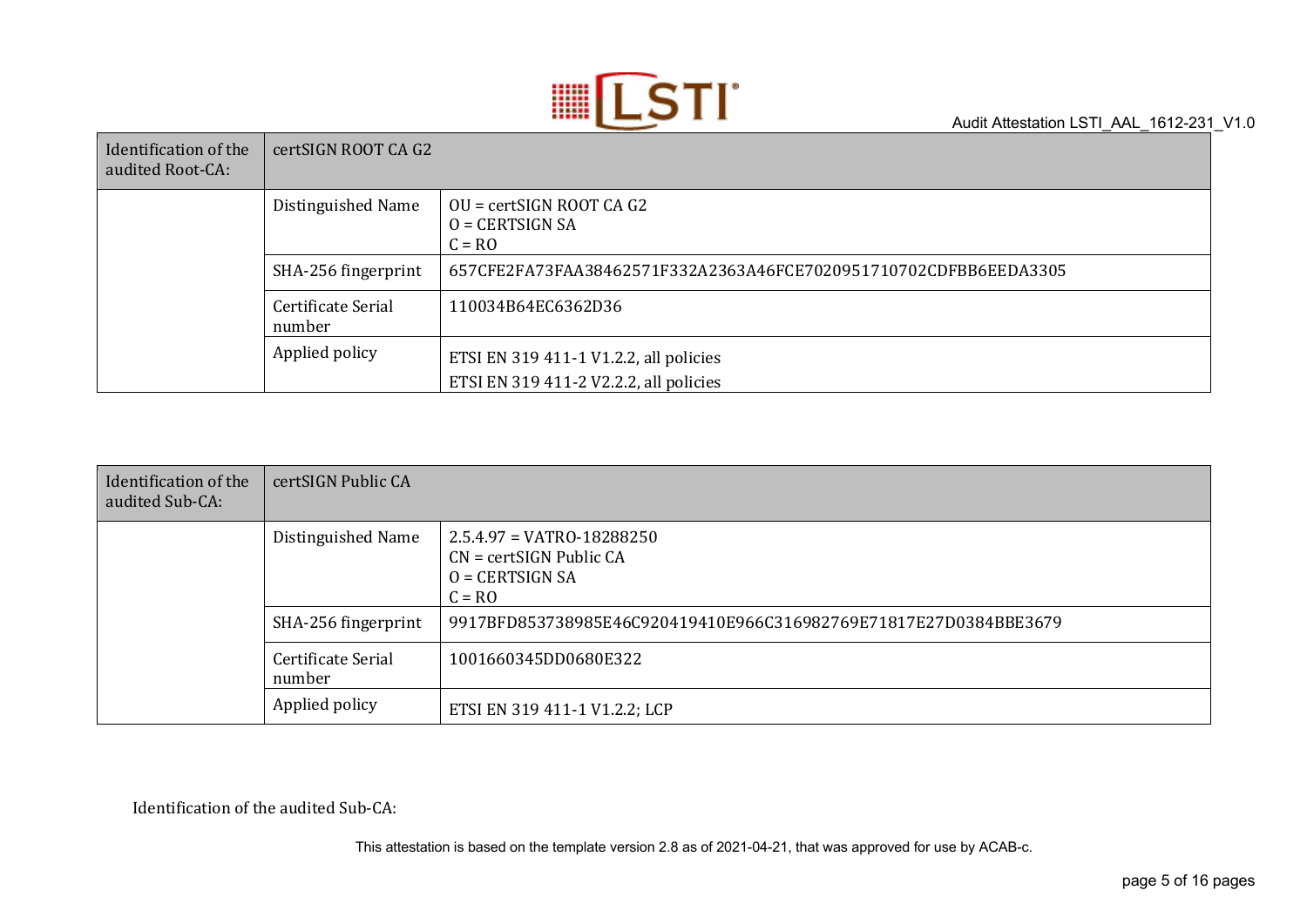

| Identification of the<br>audited Root-CA: | certSIGN ROOT CA G2          |                                                                                  |
|-------------------------------------------|------------------------------|----------------------------------------------------------------------------------|
|                                           | Distinguished Name           | $OU = certSIGN ROOT CA G2$<br>$O = CERTSIGN SA$<br>$C = RO$                      |
|                                           | SHA-256 fingerprint          | 657CFE2FA73FAA38462571F332A2363A46FCE7020951710702CDFBB6EEDA3305                 |
|                                           | Certificate Serial<br>number | 110034B64EC6362D36                                                               |
|                                           | Applied policy               | ETSI EN 319 411-1 V1.2.2, all policies<br>ETSI EN 319 411-2 V2.2.2, all policies |

| Identification of the<br>audited Sub-CA: | certSIGN Public CA           |                                                                                             |
|------------------------------------------|------------------------------|---------------------------------------------------------------------------------------------|
|                                          | Distinguished Name           | $2.5.4.97 = VATRO-18288250$<br>$CN = certSIGN$ Public $CA$<br>$O = CERTSIGN SA$<br>$C = RO$ |
|                                          | SHA-256 fingerprint          | 9917BFD853738985E46C920419410E966C316982769E71817E27D0384BBE3679                            |
|                                          | Certificate Serial<br>number | 1001660345DD0680E322                                                                        |
|                                          | Applied policy               | ETSI EN 319 411-1 V1.2.2; LCP                                                               |

Identification of the audited Sub-CA: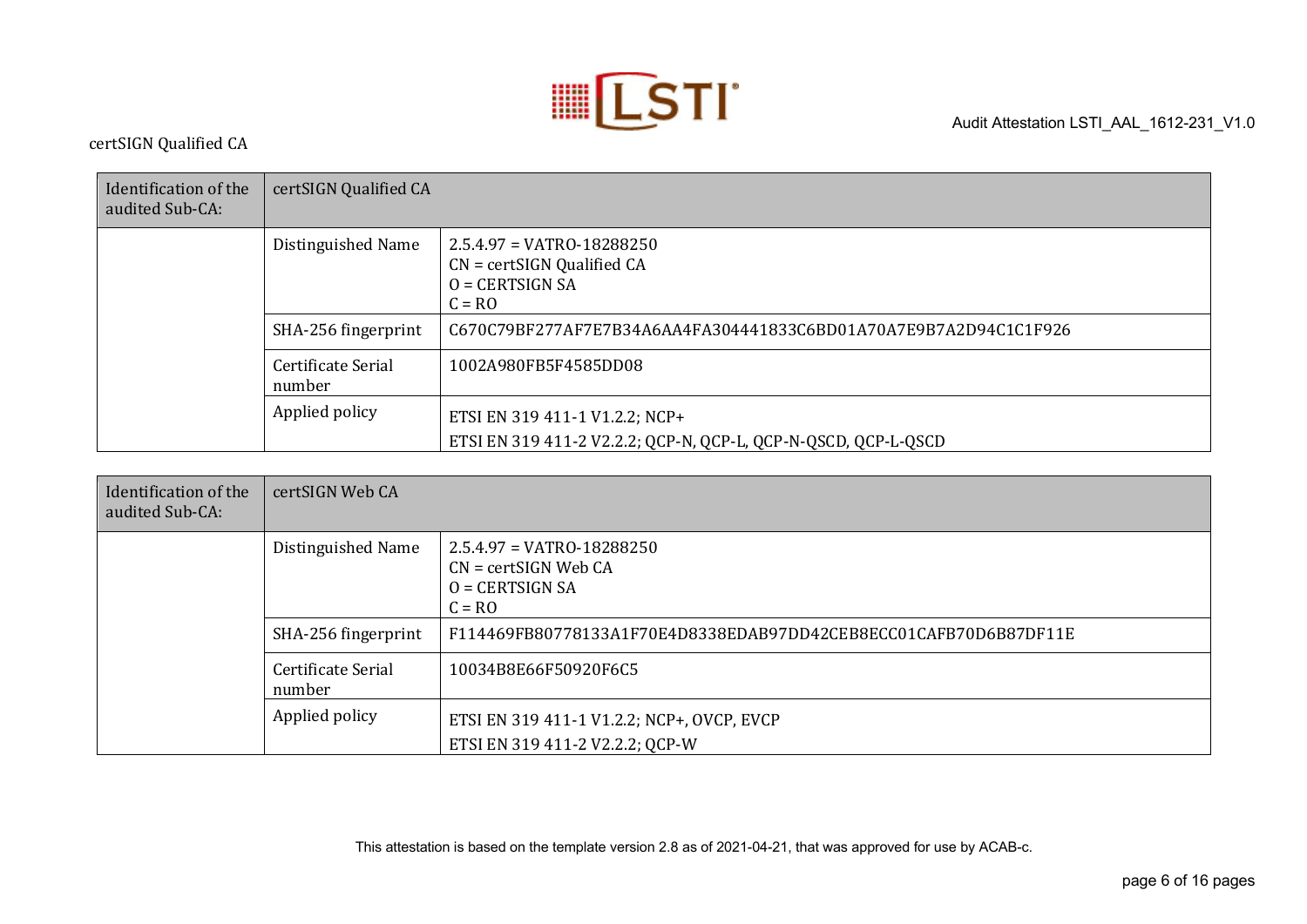

certSIGN Qualified CA

| Identification of the<br>audited Sub-CA: | certSIGN Qualified CA        |                                                                                                  |
|------------------------------------------|------------------------------|--------------------------------------------------------------------------------------------------|
|                                          | Distinguished Name           | $2.5.4.97 = VATRO - 18288250$<br>$CN = certSIGN$ Qualified $CA$<br>$O = CERTSIGN SA$<br>$C = RO$ |
|                                          | SHA-256 fingerprint          | C670C79BF277AF7E7B34A6AA4FA304441833C6BD01A70A7E9B7A2D94C1C1F926                                 |
|                                          | Certificate Serial<br>number | 1002A980FB5F4585DD08                                                                             |
|                                          | Applied policy               | ETSI EN 319 411-1 V1.2.2; NCP+<br>ETSI EN 319 411-2 V2.2.2; QCP-N, QCP-L, QCP-N-QSCD, QCP-L-QSCD |

| Identification of the<br>audited Sub-CA: | certSIGN Web CA              |                                                                                          |
|------------------------------------------|------------------------------|------------------------------------------------------------------------------------------|
|                                          | Distinguished Name           | $2.5.4.97 = VATRO-18288250$<br>$CN = certSIGN$ Web $CA$<br>$O = CERTSIGN SA$<br>$C = RO$ |
|                                          | SHA-256 fingerprint          | F114469FB80778133A1F70E4D8338EDAB97DD42CEB8ECC01CAFB70D6B87DF11E                         |
|                                          | Certificate Serial<br>number | 10034B8E66F50920F6C5                                                                     |
|                                          | Applied policy               | ETSI EN 319 411-1 V1.2.2; NCP+, OVCP, EVCP<br>ETSI EN 319 411-2 V2.2.2; QCP-W            |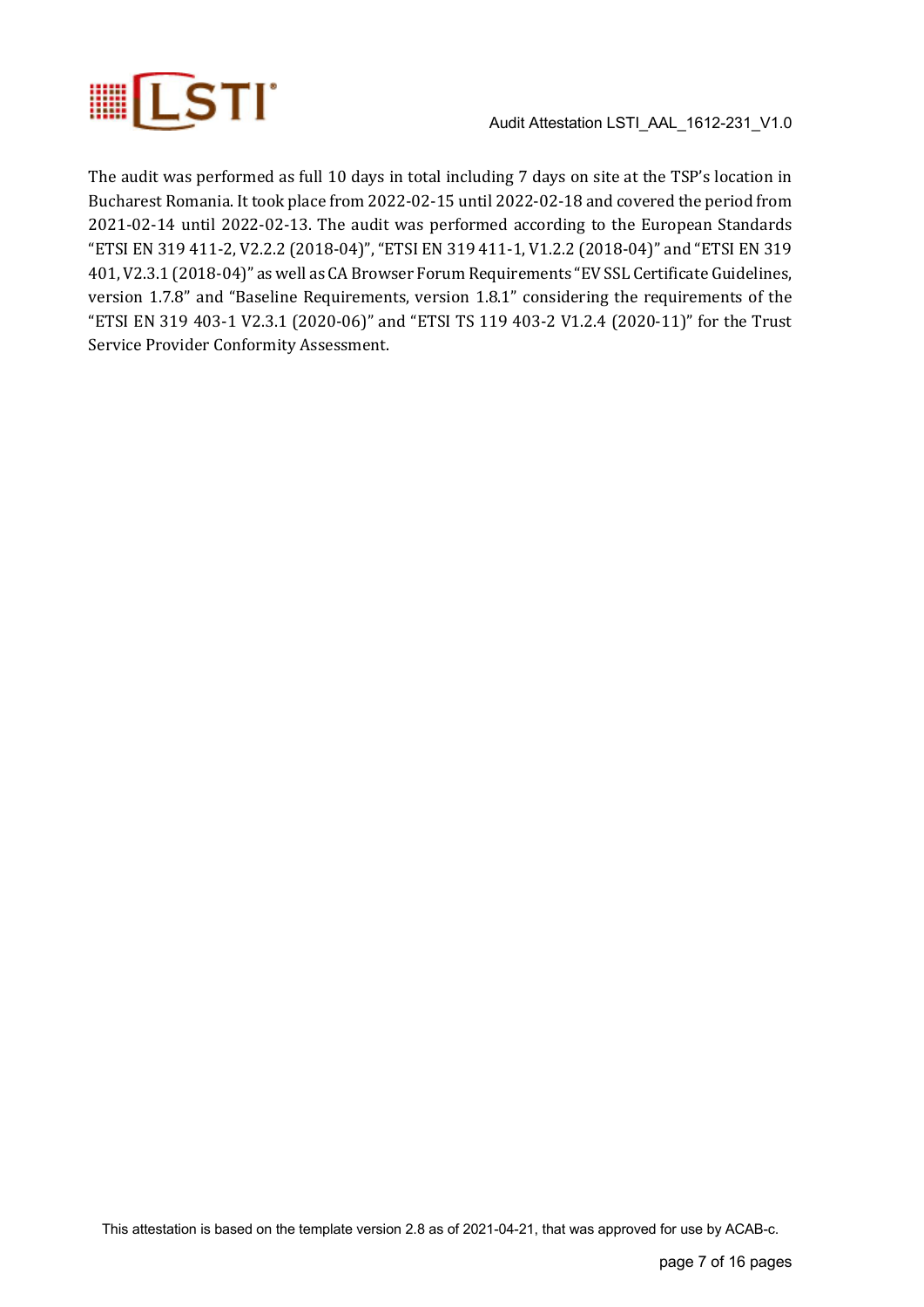

The audit was performed as full 10 days in total including 7 days on site at the TSP's location in Bucharest Romania. It took place from 2022-02-15 until 2022-02-18 and covered the period from 2021-02-14 until 2022-02-13. The audit was performed according to the European Standards "ETSI EN 319 411-2, V2.2.2 (2018-04)", "ETSI EN 319 411-1, V1.2.2 (2018-04)" and "ETSI EN 319 401, V2.3.1 (2018-04)" as well as CA Browser Forum Requirements "EV SSL Certificate Guidelines, version 1.7.8" and "Baseline Requirements, version 1.8.1" considering the requirements of the "ETSI EN 319 403-1 V2.3.1 (2020-06)" and "ETSI TS 119 403-2 V1.2.4 (2020-11)" for the Trust Service Provider Conformity Assessment.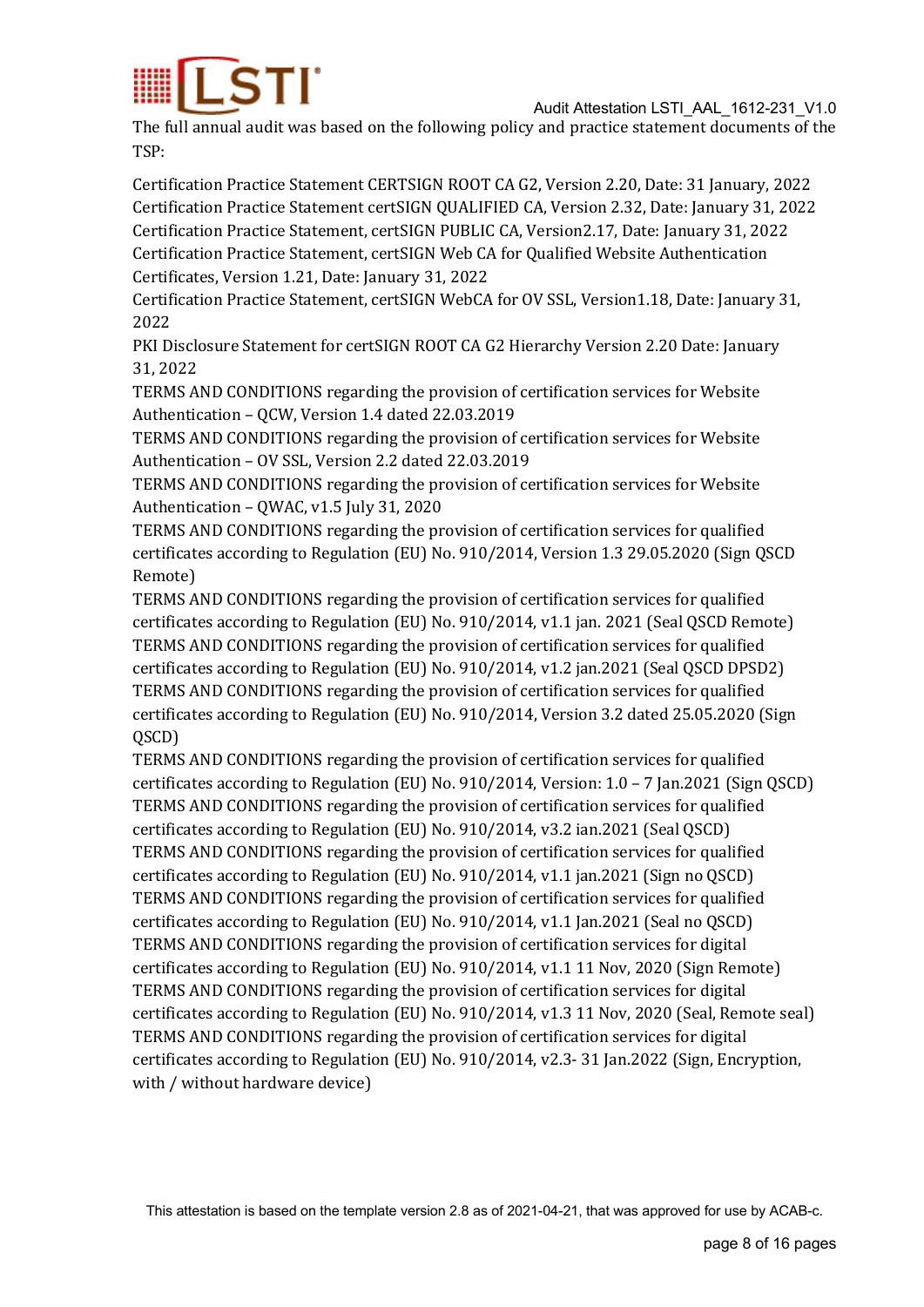

The full annual audit was based on the following policy and practice statement documents of the TSP:

Certification Practice Statement CERTSIGN ROOT CA G2, Version 2.20, Date: 31 January, 2022 Certification Practice Statement certSIGN QUALIFIED CA, Version 2.32, Date: January 31, 2022 Certification Practice Statement, certSIGN PUBLIC CA, Version2.17, Date: January 31, 2022 Certification Practice Statement, certSIGN Web CA for Qualified Website Authentication Certificates, Version 1.21, Date: January 31, 2022

Certification Practice Statement, certSIGN WebCA for OV SSL, Version1.18, Date: January 31, 2022

PKI Disclosure Statement for certSIGN ROOT CA G2 Hierarchy Version 2.20 Date: January 31, 2022

TERMS AND CONDITIONS regarding the provision of certification services for Website Authentication - QCW, Version 1.4 dated 22.03.2019

TERMS AND CONDITIONS regarding the provision of certification services for Website Authentication - OV SSL, Version 2.2 dated 22.03.2019

TERMS AND CONDITIONS regarding the provision of certification services for Website Authentication - QWAC, v1.5 July 31, 2020

TERMS AND CONDITIONS regarding the provision of certification services for qualified certificates according to Regulation (EU) No. 910/2014, Version 1.3 29.05.2020 (Sign QSCD Remote)

TERMS AND CONDITIONS regarding the provision of certification services for qualified certificates according to Regulation  $(EU)$  No. 910/2014, v1.1 jan. 2021 (Seal QSCD Remote) TERMS AND CONDITIONS regarding the provision of certification services for qualified certificates according to Regulation  $(EU)$  No. 910/2014, v1.2 jan.2021 (Seal QSCD DPSD2) TERMS AND CONDITIONS regarding the provision of certification services for qualified certificates according to Regulation (EU) No. 910/2014, Version 3.2 dated 25.05.2020 (Sign QSCD)

TERMS AND CONDITIONS regarding the provision of certification services for qualified certificates according to Regulation (EU) No. 910/2014, Version:  $1.0 - 7$  Jan.2021 (Sign QSCD) TERMS AND CONDITIONS regarding the provision of certification services for qualified certificates according to Regulation  $(EU)$  No. 910/2014, v3.2 ian.2021 (Seal QSCD) TERMS AND CONDITIONS regarding the provision of certification services for qualified certificates according to Regulation (EU) No. 910/2014, v1.1 jan.2021 (Sign no QSCD) TERMS AND CONDITIONS regarding the provision of certification services for qualified certificates according to Regulation (EU) No.  $910/2014$ , v1.1 Jan.2021 (Seal no QSCD) TERMS AND CONDITIONS regarding the provision of certification services for digital certificates according to Regulation  $(EU)$  No. 910/2014, v1.1 11 Nov, 2020 (Sign Remote) TERMS AND CONDITIONS regarding the provision of certification services for digital certificates according to Regulation (EU) No. 910/2014, v1.3 11 Nov, 2020 (Seal, Remote seal) TERMS AND CONDITIONS regarding the provision of certification services for digital certificates according to Regulation (EU) No. 910/2014, v2.3- 31 Jan.2022 (Sign, Encryption, with / without hardware device)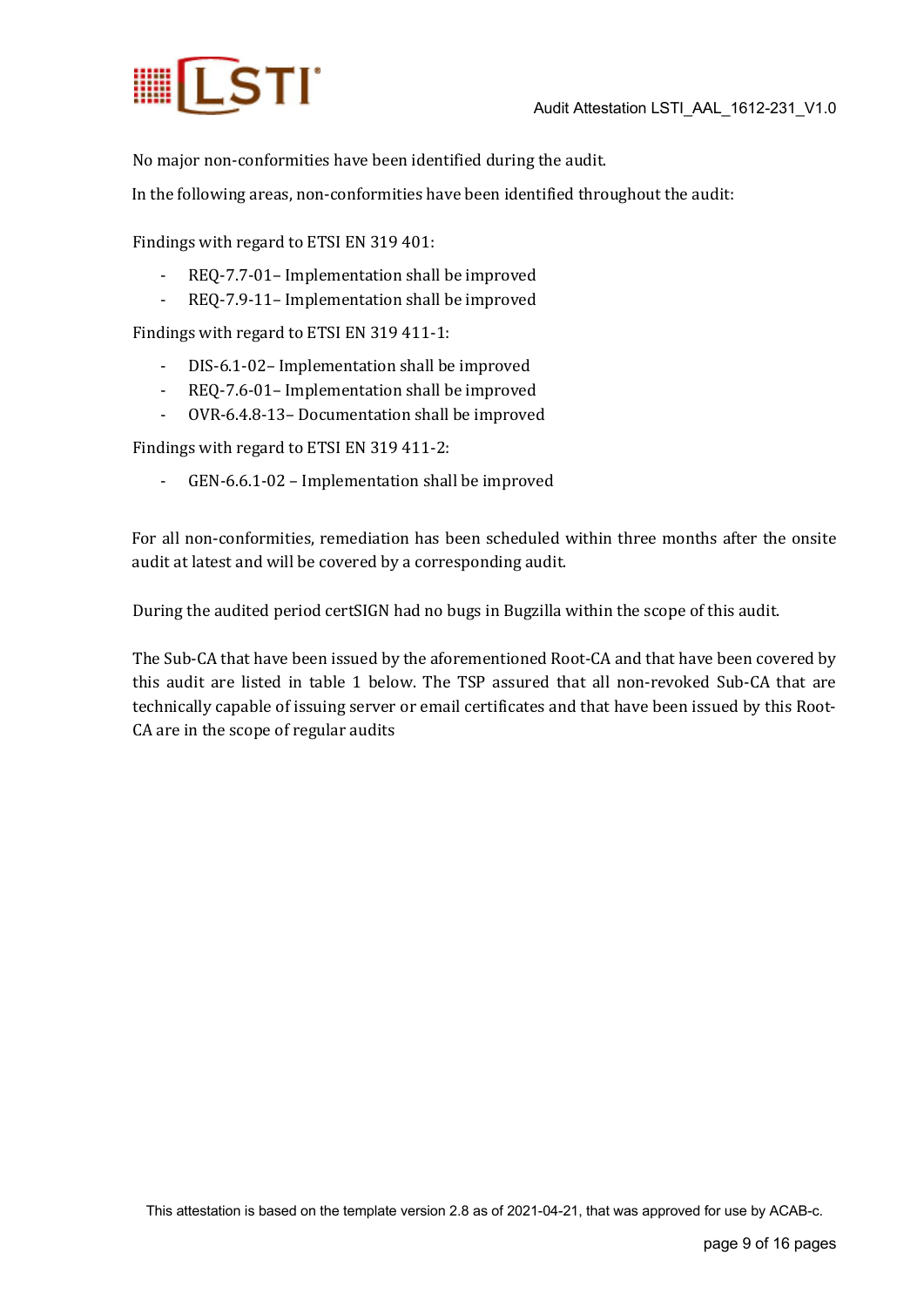

No major non-conformities have been identified during the audit.

In the following areas, non-conformities have been identified throughout the audit:

Findings with regard to ETSI EN 319 401:

- REQ-7.7-01- Implementation shall be improved
- REQ-7.9-11- Implementation shall be improved

Findings with regard to ETSI EN 319 411-1:

- DIS-6.1-02- Implementation shall be improved
- REQ-7.6-01- Implementation shall be improved
- OVR-6.4.8-13- Documentation shall be improved

Findings with regard to ETSI EN 319 411-2:

- GEN-6.6.1-02 - Implementation shall be improved

For all non-conformities, remediation has been scheduled within three months after the onsite audit at latest and will be covered by a corresponding audit.

During the audited period certSIGN had no bugs in Bugzilla within the scope of this audit.

The Sub-CA that have been issued by the aforementioned Root-CA and that have been covered by this audit are listed in table 1 below. The TSP assured that all non-revoked Sub-CA that are technically capable of issuing server or email certificates and that have been issued by this Root-CA are in the scope of regular audits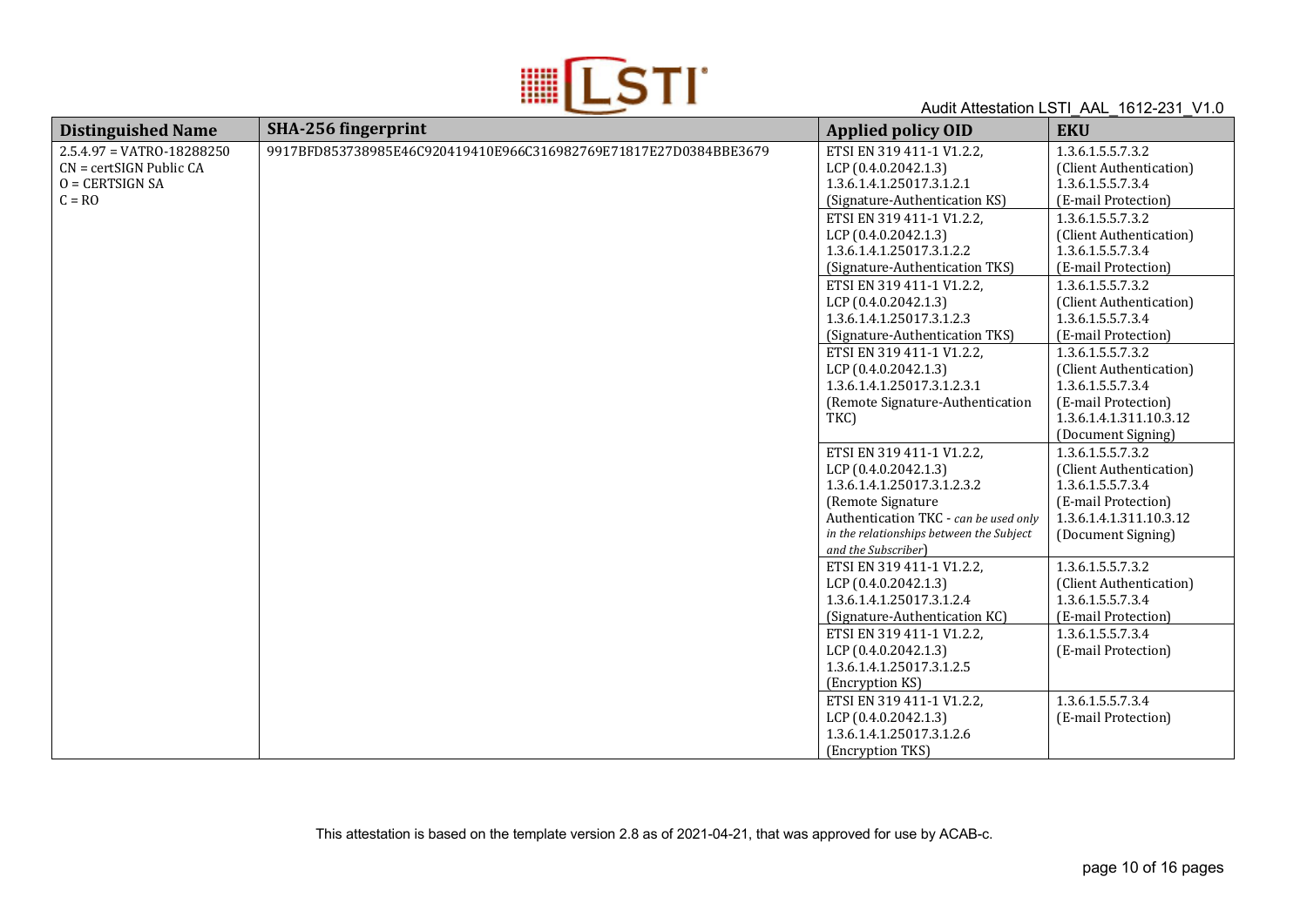

| <b>Distinguished Name</b>   | SHA-256 fingerprint                                              | <b>Applied policy OID</b>                | <b>EKU</b>              |
|-----------------------------|------------------------------------------------------------------|------------------------------------------|-------------------------|
| $2.5.4.97 = VATRO-18288250$ | 9917BFD853738985E46C920419410E966C316982769E71817E27D0384BBE3679 | ETSI EN 319 411-1 V1.2.2,                | 1.3.6.1.5.5.7.3.2       |
| $CN = certSIGN$ Public $CA$ |                                                                  | LCP (0.4.0.2042.1.3)                     | (Client Authentication) |
| $O = CERTSIGN SA$           |                                                                  | 1.3.6.1.4.1.25017.3.1.2.1                | 1.3.6.1.5.5.7.3.4       |
| $C = RO$                    |                                                                  | (Signature-Authentication KS)            | (E-mail Protection)     |
|                             |                                                                  | ETSI EN 319 411-1 V1.2.2,                | 1.3.6.1.5.5.7.3.2       |
|                             |                                                                  | LCP (0.4.0.2042.1.3)                     | (Client Authentication) |
|                             |                                                                  | 1.3.6.1.4.1.25017.3.1.2.2                | 1.3.6.1.5.5.7.3.4       |
|                             |                                                                  | (Signature-Authentication TKS)           | (E-mail Protection)     |
|                             |                                                                  | ETSI EN 319 411-1 V1.2.2,                | 1.3.6.1.5.5.7.3.2       |
|                             |                                                                  | LCP (0.4.0.2042.1.3)                     | (Client Authentication) |
|                             |                                                                  | 1.3.6.1.4.1.25017.3.1.2.3                | 1.3.6.1.5.5.7.3.4       |
|                             |                                                                  | (Signature-Authentication TKS)           | (E-mail Protection)     |
|                             |                                                                  | ETSI EN 319 411-1 V1.2.2,                | 1.3.6.1.5.5.7.3.2       |
|                             |                                                                  | LCP (0.4.0.2042.1.3)                     | (Client Authentication) |
|                             |                                                                  | 1.3.6.1.4.1.25017.3.1.2.3.1              | 1.3.6.1.5.5.7.3.4       |
|                             |                                                                  | (Remote Signature-Authentication         | (E-mail Protection)     |
|                             |                                                                  | TKC)                                     | 1.3.6.1.4.1.311.10.3.12 |
|                             |                                                                  |                                          | (Document Signing)      |
|                             |                                                                  | ETSI EN 319 411-1 V1.2.2,                | 1.3.6.1.5.5.7.3.2       |
|                             |                                                                  | LCP (0.4.0.2042.1.3)                     | (Client Authentication) |
|                             |                                                                  | 1.3.6.1.4.1.25017.3.1.2.3.2              | 1.3.6.1.5.5.7.3.4       |
|                             |                                                                  | (Remote Signature                        | (E-mail Protection)     |
|                             |                                                                  | Authentication TKC - can be used only    | 1.3.6.1.4.1.311.10.3.12 |
|                             |                                                                  | in the relationships between the Subject | (Document Signing)      |
|                             |                                                                  | and the Subscriber)                      |                         |
|                             |                                                                  | ETSI EN 319 411-1 V1.2.2,                | 1.3.6.1.5.5.7.3.2       |
|                             |                                                                  | LCP (0.4.0.2042.1.3)                     | (Client Authentication) |
|                             |                                                                  | 1.3.6.1.4.1.25017.3.1.2.4                | 1.3.6.1.5.5.7.3.4       |
|                             |                                                                  | (Signature-Authentication KC)            | (E-mail Protection)     |
|                             |                                                                  | ETSI EN 319 411-1 V1.2.2,                | 1.3.6.1.5.5.7.3.4       |
|                             |                                                                  | LCP (0.4.0.2042.1.3)                     | (E-mail Protection)     |
|                             |                                                                  | 1.3.6.1.4.1.25017.3.1.2.5                |                         |
|                             |                                                                  | (Encryption KS)                          |                         |
|                             |                                                                  | ETSI EN 319 411-1 V1.2.2,                | 1.3.6.1.5.5.7.3.4       |
|                             |                                                                  | LCP (0.4.0.2042.1.3)                     | (E-mail Protection)     |
|                             |                                                                  | 1.3.6.1.4.1.25017.3.1.2.6                |                         |
|                             |                                                                  | (Encryption TKS)                         |                         |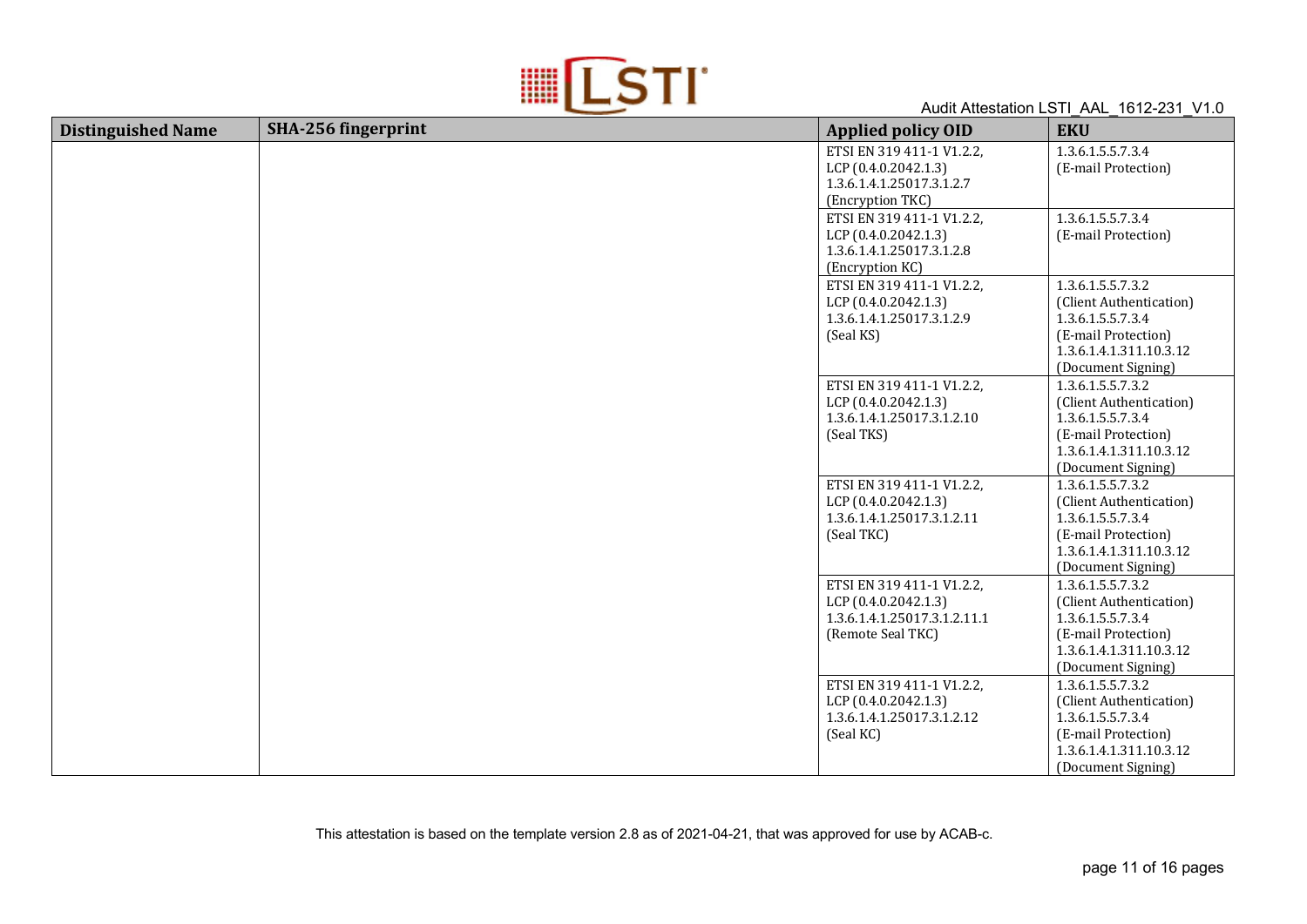

| <b>Distinguished Name</b> | SHA-256 fingerprint | <b>Applied policy OID</b>                                                                              | <b>EKU</b>                                                                                                                                |
|---------------------------|---------------------|--------------------------------------------------------------------------------------------------------|-------------------------------------------------------------------------------------------------------------------------------------------|
|                           |                     | ETSI EN 319 411-1 V1.2.2,<br>LCP (0.4.0.2042.1.3)<br>1.3.6.1.4.1.25017.3.1.2.7<br>(Encryption TKC)     | 1.3.6.1.5.5.7.3.4<br>(E-mail Protection)                                                                                                  |
|                           |                     | ETSI EN 319 411-1 V1.2.2,<br>LCP (0.4.0.2042.1.3)<br>1.3.6.1.4.1.25017.3.1.2.8<br>(Encryption KC)      | 1.3.6.1.5.5.7.3.4<br>(E-mail Protection)                                                                                                  |
|                           |                     | ETSI EN 319 411-1 V1.2.2,<br>LCP (0.4.0.2042.1.3)<br>1.3.6.1.4.1.25017.3.1.2.9<br>(Seal KS)            | 1.3.6.1.5.5.7.3.2<br>(Client Authentication)<br>1.3.6.1.5.5.7.3.4<br>(E-mail Protection)<br>1.3.6.1.4.1.311.10.3.12<br>(Document Signing) |
|                           |                     | ETSI EN 319 411-1 V1.2.2,<br>LCP (0.4.0.2042.1.3)<br>1.3.6.1.4.1.25017.3.1.2.10<br>(Seal TKS)          | 1.3.6.1.5.5.7.3.2<br>(Client Authentication)<br>1.3.6.1.5.5.7.3.4<br>(E-mail Protection)<br>1.3.6.1.4.1.311.10.3.12<br>(Document Signing) |
|                           |                     | ETSI EN 319 411-1 V1.2.2,<br>LCP (0.4.0.2042.1.3)<br>1.3.6.1.4.1.25017.3.1.2.11<br>(Seal TKC)          | 1.3.6.1.5.5.7.3.2<br>(Client Authentication)<br>1.3.6.1.5.5.7.3.4<br>(E-mail Protection)<br>1.3.6.1.4.1.311.10.3.12<br>(Document Signing) |
|                           |                     | ETSI EN 319 411-1 V1.2.2,<br>LCP (0.4.0.2042.1.3)<br>1.3.6.1.4.1.25017.3.1.2.11.1<br>(Remote Seal TKC) | 1.3.6.1.5.5.7.3.2<br>(Client Authentication)<br>1.3.6.1.5.5.7.3.4<br>(E-mail Protection)<br>1.3.6.1.4.1.311.10.3.12<br>(Document Signing) |
|                           |                     | ETSI EN 319 411-1 V1.2.2,<br>LCP (0.4.0.2042.1.3)<br>1.3.6.1.4.1.25017.3.1.2.12<br>(Seal KC)           | 1.3.6.1.5.5.7.3.2<br>(Client Authentication)<br>1.3.6.1.5.5.7.3.4<br>(E-mail Protection)<br>1.3.6.1.4.1.311.10.3.12<br>(Document Signing) |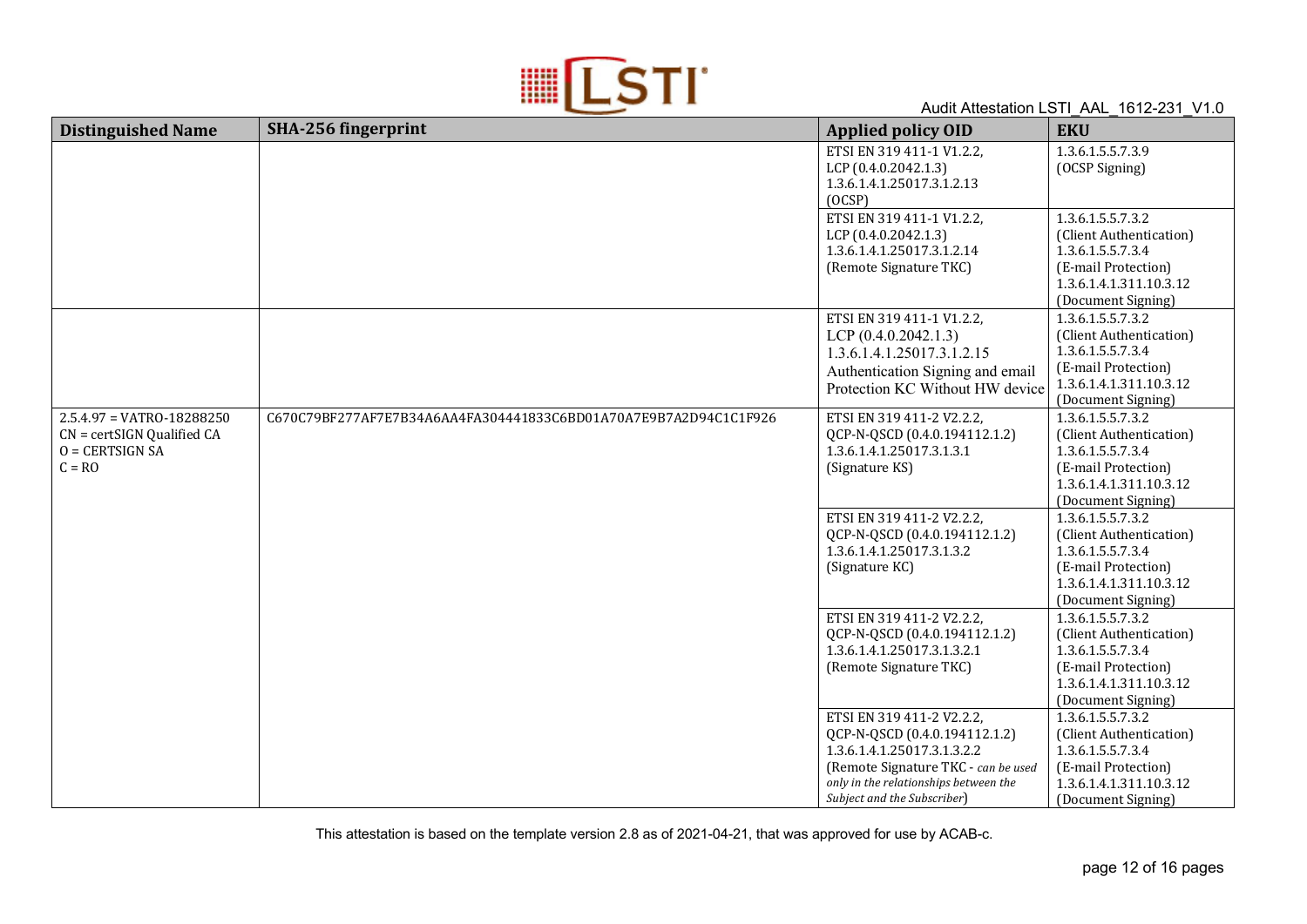

| <b>Distinguished Name</b>                                                                      | SHA-256 fingerprint                                              | <b>Applied policy OID</b>                                                                                                                                                                                | <b>EKU</b>                                                                                                                                |
|------------------------------------------------------------------------------------------------|------------------------------------------------------------------|----------------------------------------------------------------------------------------------------------------------------------------------------------------------------------------------------------|-------------------------------------------------------------------------------------------------------------------------------------------|
|                                                                                                |                                                                  | ETSI EN 319 411-1 V1.2.2,<br>LCP (0.4.0.2042.1.3)<br>1.3.6.1.4.1.25017.3.1.2.13<br>(OCSP)                                                                                                                | 1.3.6.1.5.5.7.3.9<br>(OCSP Signing)                                                                                                       |
|                                                                                                |                                                                  | ETSI EN 319 411-1 V1.2.2,<br>LCP (0.4.0.2042.1.3)<br>1.3.6.1.4.1.25017.3.1.2.14<br>(Remote Signature TKC)                                                                                                | 1.3.6.1.5.5.7.3.2<br>(Client Authentication)<br>1.3.6.1.5.5.7.3.4<br>(E-mail Protection)<br>1.3.6.1.4.1.311.10.3.12<br>(Document Signing) |
|                                                                                                |                                                                  | ETSI EN 319 411-1 V1.2.2,<br>LCP $(0.4.0.2042.1.3)$<br>1.3.6.1.4.1.25017.3.1.2.15<br>Authentication Signing and email<br>Protection KC Without HW device                                                 | 1.3.6.1.5.5.7.3.2<br>(Client Authentication)<br>1.3.6.1.5.5.7.3.4<br>(E-mail Protection)<br>1.3.6.1.4.1.311.10.3.12<br>(Document Signing) |
| $2.5.4.97 = VATRO-18288250$<br>$CN = certSIGN$ Qualified $CA$<br>$O = CERTSIGN SA$<br>$C = RO$ | C670C79BF277AF7E7B34A6AA4FA304441833C6BD01A70A7E9B7A2D94C1C1F926 | ETSI EN 319 411-2 V2.2.2,<br>QCP-N-QSCD (0.4.0.194112.1.2)<br>1.3.6.1.4.1.25017.3.1.3.1<br>(Signature KS)                                                                                                | 1.3.6.1.5.5.7.3.2<br>(Client Authentication)<br>1.3.6.1.5.5.7.3.4<br>(E-mail Protection)<br>1.3.6.1.4.1.311.10.3.12<br>(Document Signing) |
|                                                                                                |                                                                  | ETSI EN 319 411-2 V2.2.2,<br>QCP-N-QSCD (0.4.0.194112.1.2)<br>1.3.6.1.4.1.25017.3.1.3.2<br>(Signature KC)                                                                                                | 1.3.6.1.5.5.7.3.2<br>(Client Authentication)<br>1.3.6.1.5.5.7.3.4<br>(E-mail Protection)<br>1.3.6.1.4.1.311.10.3.12<br>(Document Signing) |
|                                                                                                |                                                                  | ETSI EN 319 411-2 V2.2.2,<br>QCP-N-QSCD (0.4.0.194112.1.2)<br>1.3.6.1.4.1.25017.3.1.3.2.1<br>(Remote Signature TKC)                                                                                      | 1.3.6.1.5.5.7.3.2<br>(Client Authentication)<br>1.3.6.1.5.5.7.3.4<br>(E-mail Protection)<br>1.3.6.1.4.1.311.10.3.12<br>(Document Signing) |
|                                                                                                |                                                                  | ETSI EN 319 411-2 V2.2.2,<br>QCP-N-QSCD (0.4.0.194112.1.2)<br>1.3.6.1.4.1.25017.3.1.3.2.2<br>(Remote Signature TKC - can be used<br>only in the relationships between the<br>Subject and the Subscriber) | 1.3.6.1.5.5.7.3.2<br>(Client Authentication)<br>1.3.6.1.5.5.7.3.4<br>(E-mail Protection)<br>1.3.6.1.4.1.311.10.3.12<br>(Document Signing) |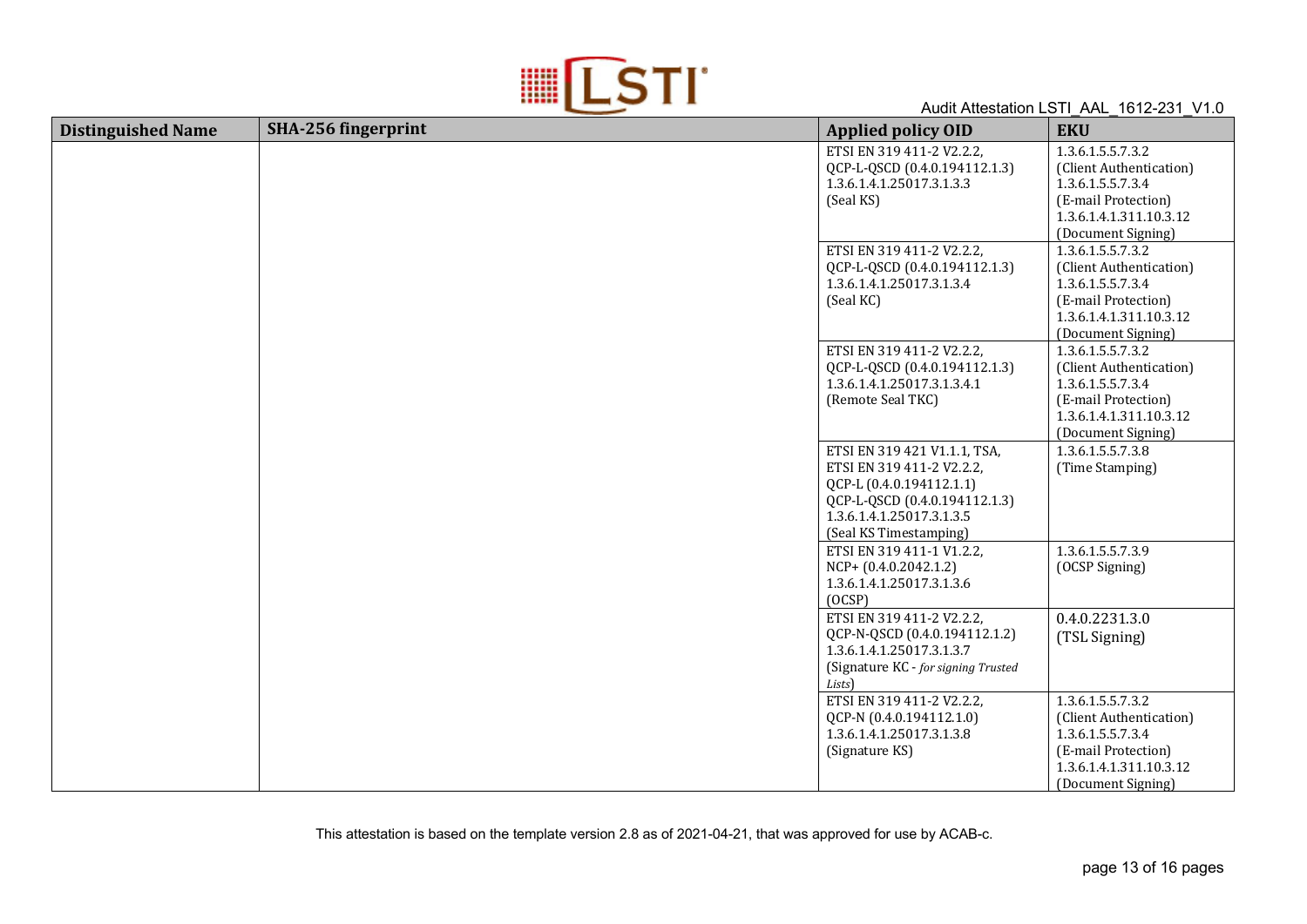

| <b>Distinguished Name</b> | SHA-256 fingerprint | <b>Applied policy OID</b>                                                                                                                                                     | <b>EKU</b>                                                                                                                                |
|---------------------------|---------------------|-------------------------------------------------------------------------------------------------------------------------------------------------------------------------------|-------------------------------------------------------------------------------------------------------------------------------------------|
|                           |                     | ETSI EN 319 411-2 V2.2.2,<br>QCP-L-QSCD (0.4.0.194112.1.3)<br>1.3.6.1.4.1.25017.3.1.3.3<br>(Seal KS)                                                                          | 1.3.6.1.5.5.7.3.2<br>(Client Authentication)<br>1.3.6.1.5.5.7.3.4<br>(E-mail Protection)<br>1.3.6.1.4.1.311.10.3.12<br>(Document Signing) |
|                           |                     | ETSI EN 319 411-2 V2.2.2,<br>QCP-L-QSCD (0.4.0.194112.1.3)<br>1.3.6.1.4.1.25017.3.1.3.4<br>(Seal KC)                                                                          | 1.3.6.1.5.5.7.3.2<br>(Client Authentication)<br>1.3.6.1.5.5.7.3.4<br>(E-mail Protection)<br>1.3.6.1.4.1.311.10.3.12<br>(Document Signing) |
|                           |                     | ETSI EN 319 411-2 V2.2.2,<br>QCP-L-QSCD (0.4.0.194112.1.3)<br>1.3.6.1.4.1.25017.3.1.3.4.1<br>(Remote Seal TKC)                                                                | 1.3.6.1.5.5.7.3.2<br>(Client Authentication)<br>1.3.6.1.5.5.7.3.4<br>(E-mail Protection)<br>1.3.6.1.4.1.311.10.3.12<br>(Document Signing) |
|                           |                     | ETSI EN 319 421 V1.1.1, TSA,<br>ETSI EN 319 411-2 V2.2.2,<br>QCP-L (0.4.0.194112.1.1)<br>QCP-L-QSCD (0.4.0.194112.1.3)<br>1.3.6.1.4.1.25017.3.1.3.5<br>(Seal KS Timestamping) | 1.3.6.1.5.5.7.3.8<br>(Time Stamping)                                                                                                      |
|                           |                     | ETSI EN 319 411-1 V1.2.2,<br>$NCP+ (0.4.0.2042.1.2)$<br>1.3.6.1.4.1.25017.3.1.3.6<br>(OCSP)                                                                                   | 1.3.6.1.5.5.7.3.9<br>(OCSP Signing)                                                                                                       |
|                           |                     | ETSI EN 319 411-2 V2.2.2,<br>QCP-N-QSCD (0.4.0.194112.1.2)<br>1.3.6.1.4.1.25017.3.1.3.7<br>(Signature KC - for signing Trusted<br>Lists)                                      | 0.4.0.2231.3.0<br>(TSL Signing)                                                                                                           |
|                           |                     | ETSI EN 319 411-2 V2.2.2,<br>QCP-N (0.4.0.194112.1.0)<br>1.3.6.1.4.1.25017.3.1.3.8<br>(Signature KS)                                                                          | 1.3.6.1.5.5.7.3.2<br>(Client Authentication)<br>1.3.6.1.5.5.7.3.4<br>(E-mail Protection)<br>1.3.6.1.4.1.311.10.3.12<br>(Document Signing) |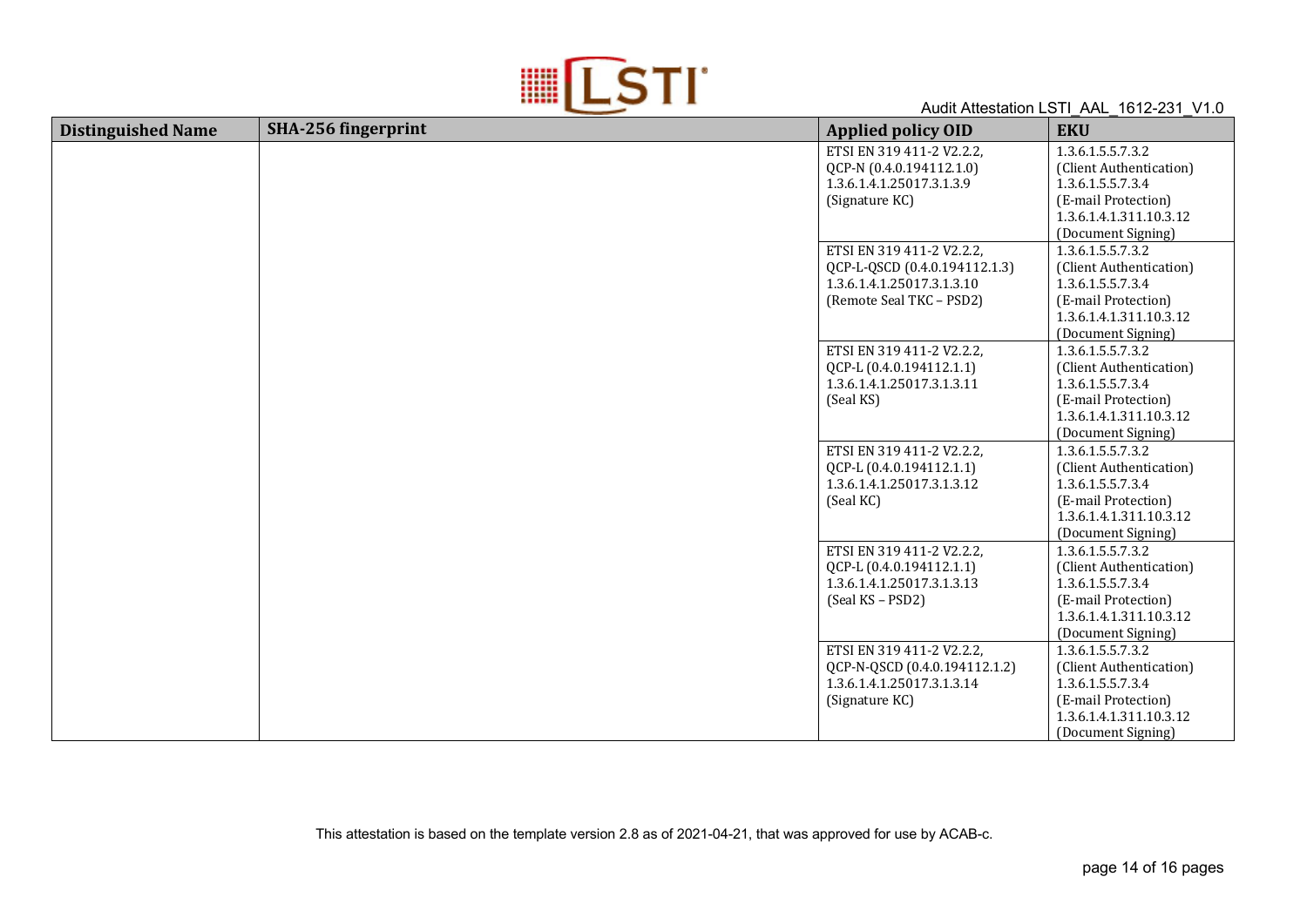

| <b>Distinguished Name</b> | SHA-256 fingerprint | <b>Applied policy OID</b>                                                                                            | <b>EKU</b>                                                                                                                                |
|---------------------------|---------------------|----------------------------------------------------------------------------------------------------------------------|-------------------------------------------------------------------------------------------------------------------------------------------|
|                           |                     | ETSI EN 319 411-2 V2.2.2,<br>QCP-N (0.4.0.194112.1.0)<br>1.3.6.1.4.1.25017.3.1.3.9<br>(Signature KC)                 | 1.3.6.1.5.5.7.3.2<br>(Client Authentication)<br>1.3.6.1.5.5.7.3.4<br>(E-mail Protection)<br>1.3.6.1.4.1.311.10.3.12<br>(Document Signing) |
|                           |                     | ETSI EN 319 411-2 V2.2.2,<br>QCP-L-QSCD (0.4.0.194112.1.3)<br>1.3.6.1.4.1.25017.3.1.3.10<br>(Remote Seal TKC - PSD2) | 1.3.6.1.5.5.7.3.2<br>(Client Authentication)<br>1.3.6.1.5.5.7.3.4<br>(E-mail Protection)<br>1.3.6.1.4.1.311.10.3.12<br>(Document Signing) |
|                           |                     | ETSI EN 319 411-2 V2.2.2,<br>QCP-L (0.4.0.194112.1.1)<br>1.3.6.1.4.1.25017.3.1.3.11<br>(Seal KS)                     | 1.3.6.1.5.5.7.3.2<br>(Client Authentication)<br>1.3.6.1.5.5.7.3.4<br>(E-mail Protection)<br>1.3.6.1.4.1.311.10.3.12<br>(Document Signing) |
|                           |                     | ETSI EN 319 411-2 V2.2.2,<br>QCP-L (0.4.0.194112.1.1)<br>1.3.6.1.4.1.25017.3.1.3.12<br>(Seal KC)                     | 1.3.6.1.5.5.7.3.2<br>(Client Authentication)<br>1.3.6.1.5.5.7.3.4<br>(E-mail Protection)<br>1.3.6.1.4.1.311.10.3.12<br>(Document Signing) |
|                           |                     | ETSI EN 319 411-2 V2.2.2,<br>QCP-L (0.4.0.194112.1.1)<br>1.3.6.1.4.1.25017.3.1.3.13<br>(Seal KS - PSD2)              | 1.3.6.1.5.5.7.3.2<br>(Client Authentication)<br>1.3.6.1.5.5.7.3.4<br>(E-mail Protection)<br>1.3.6.1.4.1.311.10.3.12<br>(Document Signing) |
|                           |                     | ETSI EN 319 411-2 V2.2.2,<br>QCP-N-QSCD (0.4.0.194112.1.2)<br>1.3.6.1.4.1.25017.3.1.3.14<br>(Signature KC)           | 1.3.6.1.5.5.7.3.2<br>(Client Authentication)<br>1.3.6.1.5.5.7.3.4<br>(E-mail Protection)<br>1.3.6.1.4.1.311.10.3.12<br>(Document Signing) |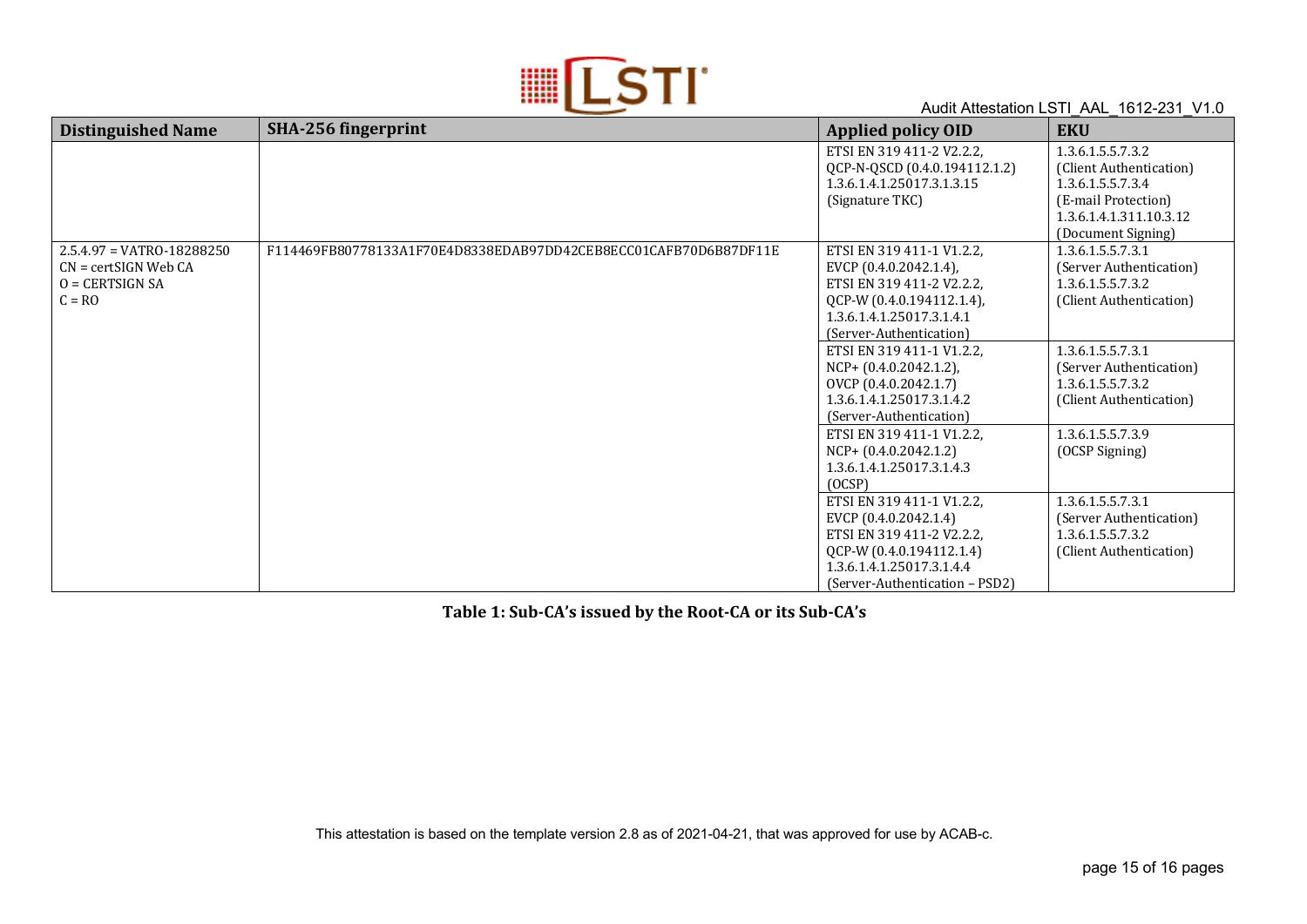

| <b>Distinguished Name</b>   | SHA-256 fingerprint                                              | <b>Applied policy OID</b>                                  | <b>EKU</b>                                   |
|-----------------------------|------------------------------------------------------------------|------------------------------------------------------------|----------------------------------------------|
|                             |                                                                  | ETSI EN 319 411-2 V2.2.2,<br>QCP-N-QSCD (0.4.0.194112.1.2) | 1.3.6.1.5.5.7.3.2<br>(Client Authentication) |
|                             |                                                                  | 1.3.6.1.4.1.25017.3.1.3.15                                 | 1.3.6.1.5.5.7.3.4                            |
|                             |                                                                  | (Signature TKC)                                            | (E-mail Protection)                          |
|                             |                                                                  |                                                            | 1.3.6.1.4.1.311.10.3.12                      |
|                             |                                                                  |                                                            | (Document Signing)                           |
| $2.5.4.97 = VATRO-18288250$ | F114469FB80778133A1F70E4D8338EDAB97DD42CEB8ECC01CAFB70D6B87DF11E | ETSI EN 319 411-1 V1.2.2,                                  | 1.3.6.1.5.5.7.3.1                            |
| $CN = certSIGN$ Web $CA$    |                                                                  | EVCP (0.4.0.2042.1.4),                                     | (Server Authentication)                      |
| $Q = CERTSIGN SA$           |                                                                  | ETSI EN 319 411-2 V2.2.2,                                  | 1.3.6.1.5.5.7.3.2                            |
| $C = RO$                    |                                                                  | QCP-W (0.4.0.194112.1.4),                                  | (Client Authentication)                      |
|                             |                                                                  | 1.3.6.1.4.1.25017.3.1.4.1                                  |                                              |
|                             |                                                                  | (Server-Authentication)                                    |                                              |
|                             |                                                                  | ETSI EN 319 411-1 V1.2.2,                                  | 1.3.6.1.5.5.7.3.1                            |
|                             |                                                                  | $NCP+ (0.4.0.2042.1.2)$                                    | (Server Authentication)                      |
|                             |                                                                  | OVCP (0.4.0.2042.1.7)                                      | 1.3.6.1.5.5.7.3.2                            |
|                             |                                                                  | 1.3.6.1.4.1.25017.3.1.4.2                                  | (Client Authentication)                      |
|                             |                                                                  | (Server-Authentication)                                    |                                              |
|                             |                                                                  | ETSI EN 319 411-1 V1.2.2,                                  | 1.3.6.1.5.5.7.3.9                            |
|                             |                                                                  | $NCP+ (0.4.0.2042.1.2)$                                    | (OCSP Signing)                               |
|                             |                                                                  | 1.3.6.1.4.1.25017.3.1.4.3                                  |                                              |
|                             |                                                                  | (OCSP)                                                     |                                              |
|                             |                                                                  | ETSI EN 319 411-1 V1.2.2,                                  | 1.3.6.1.5.5.7.3.1                            |
|                             |                                                                  | EVCP (0.4.0.2042.1.4)                                      | (Server Authentication)                      |
|                             |                                                                  | ETSI EN 319 411-2 V2.2.2,                                  | 1.3.6.1.5.5.7.3.2                            |
|                             |                                                                  | QCP-W (0.4.0.194112.1.4)                                   | (Client Authentication)                      |
|                             |                                                                  | 1.3.6.1.4.1.25017.3.1.4.4                                  |                                              |
|                             |                                                                  | (Server-Authentication – PSD2)                             |                                              |

Table 1: Sub-CA's issued by the Root-CA or its Sub-CA's